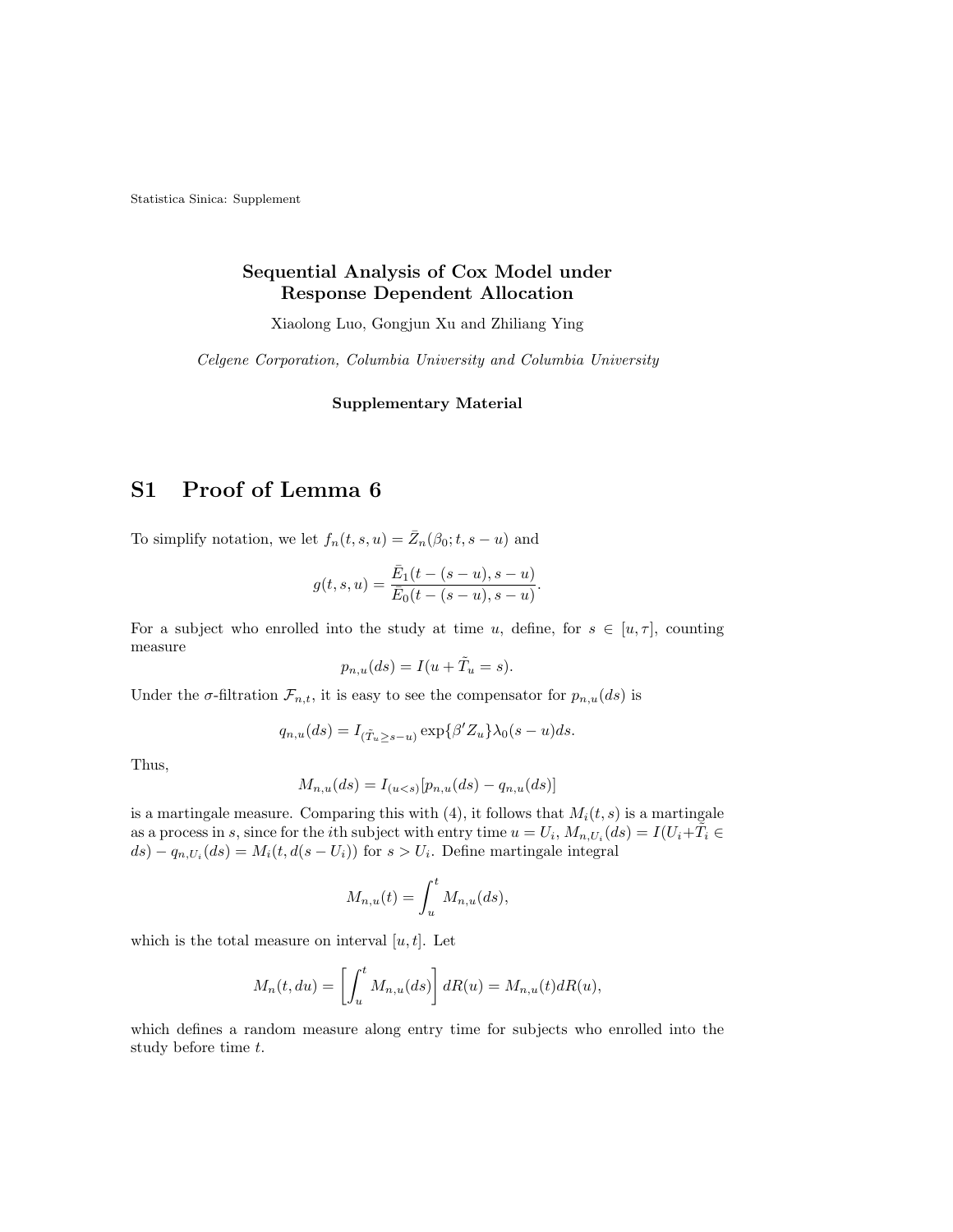Statistica Sinica: Supplement

#### Sequential Analysis of Cox Model under Response Dependent Allocation

Xiaolong Luo, Gongjun Xu and Zhiliang Ying

Celgene Corporation, Columbia University and Columbia University

Supplementary Material

## S1 Proof of Lemma 6

To simplify notation, we let  $f_n(t, s, u) = \overline{Z}_n(\beta_0; t, s - u)$  and

$$
g(t,s,u) = \frac{\bar{E}_1(t-(s-u),s-u)}{\bar{E}_0(t-(s-u),s-u)}.
$$

For a subject who enrolled into the study at time u, define, for  $s \in [u, \tau]$ , counting measure

$$
p_{n,u}(ds) = I(u + \tilde{T}_u = s).
$$

Under the  $\sigma$ -filtration  $\mathcal{F}_{n,t}$ , it is easy to see the compensator for  $p_{n,u}(ds)$  is

$$
q_{n,u}(ds) = I_{(\tilde{T}_u \geq s-u)} \exp{\{\beta' Z_u\}} \lambda_0(s-u) ds.
$$

Thus,

$$
M_{n,u}(ds) = I_{(u
$$

is a martingale measure. Comparing this with  $(4)$ , it follows that  $M_i(t, s)$  is a martingale as a process in s, since for the *i*th subject with entry time  $u = U_i$ ,  $M_{n,U_i}(ds) = I(U_i + \tilde{T}_i \in$  $ds - q_{n,U_i}(ds) = M_i(t, d(s-U_i))$  for  $s > U_i$ . Define martingale integral

$$
M_{n,u}(t) = \int_u^t M_{n,u}(ds),
$$

which is the total measure on interval  $[u, t]$ . Let

$$
M_n(t, du) = \left[ \int_u^t M_{n,u}(ds) \right] dR(u) = M_{n,u}(t) dR(u),
$$

which defines a random measure along entry time for subjects who enrolled into the study before time t.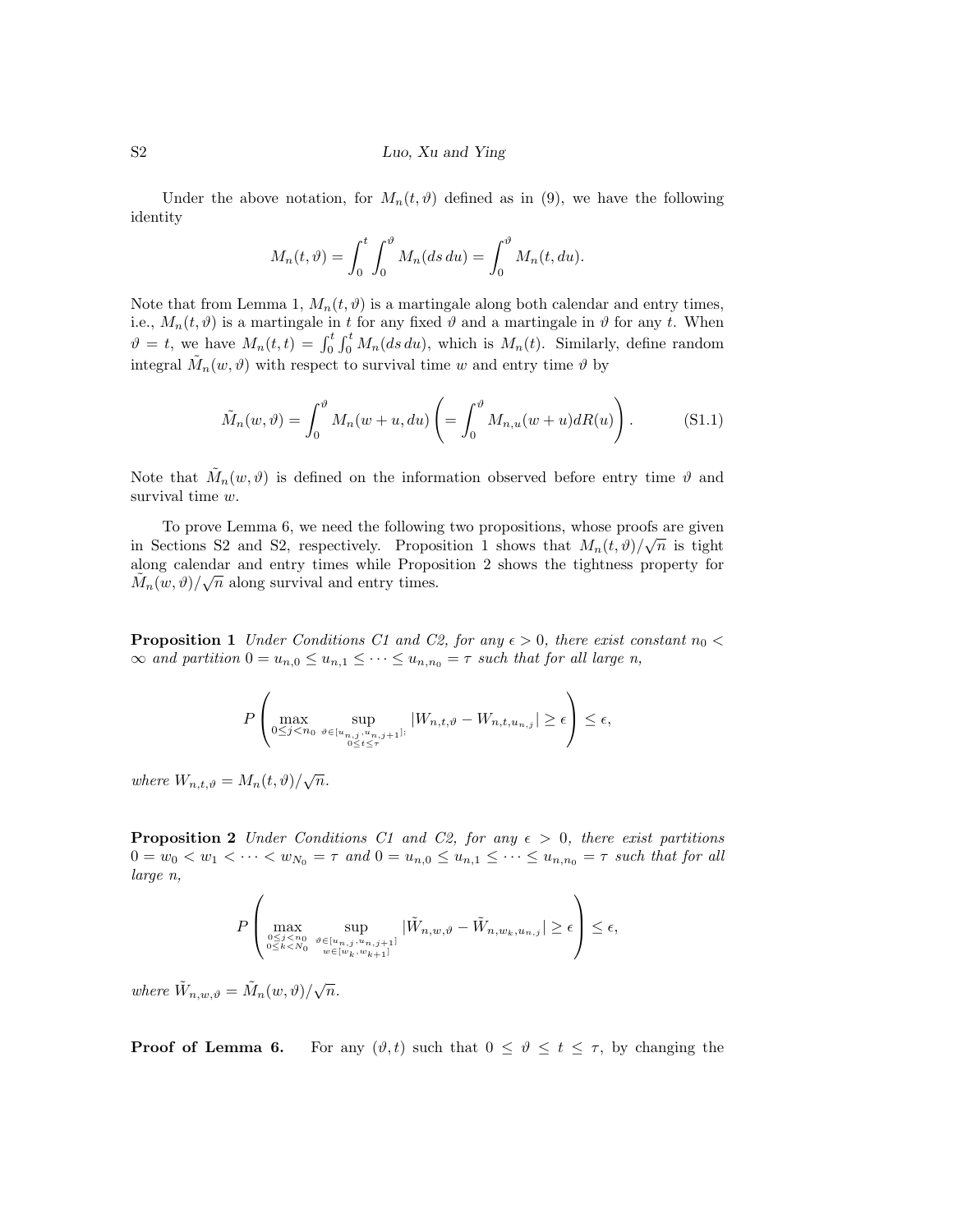#### S2 Luo, Xu and Ying

Under the above notation, for  $M_n(t, \vartheta)$  defined as in (9), we have the following identity

$$
M_n(t,\vartheta) = \int_0^t \int_0^{\vartheta} M_n(ds \, du) = \int_0^{\vartheta} M_n(t, du).
$$

Note that from Lemma 1,  $M_n(t, \vartheta)$  is a martingale along both calendar and entry times, i.e.,  $M_n(t, \vartheta)$  is a martingale in t for any fixed  $\vartheta$  and a martingale in  $\vartheta$  for any t. When  $\vartheta = t$ , we have  $M_n(t,t) = \int_0^t \int_0^t M_n(ds \, du)$ , which is  $M_n(t)$ . Similarly, define random integral  $\tilde{M}_n(w, \vartheta)$  with respect to survival time w and entry time  $\vartheta$  by

$$
\tilde{M}_n(w,\vartheta) = \int_0^{\vartheta} M_n(w+u,du) \left( = \int_0^{\vartheta} M_{n,u}(w+u) dR(u) \right). \tag{S1.1}
$$

Note that  $\tilde{M}_n(w, \vartheta)$  is defined on the information observed before entry time  $\vartheta$  and survival time  $w$ .

To prove Lemma 6, we need the following two propositions, whose proofs are given in Sections S2 and S2, respectively. Proposition 1 shows that  $M_n(t, \vartheta)/\sqrt{n}$  is tight along calendar and entry times while Proposition 2 shows the tightness property for  $\tilde{M}_n(w, \vartheta) / \sqrt{n}$  along survival and entry times.

**Proposition 1** Under Conditions C1 and C2, for any  $\epsilon > 0$ , there exist constant  $n_0 <$  $\infty$  and partition  $0 = u_{n,0} \leq u_{n,1} \leq \cdots \leq u_{n,n_0} = \tau$  such that for all large n,

$$
P\left(\max_{0\leq j
$$

where  $W_{n,t,\vartheta} = M_n(t,\vartheta)/\sqrt{n}$ .

**Proposition 2** Under Conditions C1 and C2, for any  $\epsilon > 0$ , there exist partitions  $0 = w_0 < w_1 < \cdots < w_{N_0} = \tau$  and  $0 = u_{n,0} \leq u_{n,1} \leq \cdots \leq u_{n,n_0} = \tau$  such that for all large n,

$$
P\left(\max_{\substack{0\leq j < n_0\\0\leq k < N_0}} \sup_{\substack{\vartheta \in [u_{n,j}, u_{n,j+1}]\\w \in [w_k, w_{k+1}]}} |\tilde{W}_{n,w,\vartheta} - \tilde{W}_{n,w_k, u_{n,j}}| \geq \epsilon \right) \leq \epsilon,
$$

where  $\tilde{W}_{n,w,\vartheta} = \tilde{M}_n(w,\vartheta)/\sqrt{n}$ .

**Proof of Lemma 6.** For any  $(\vartheta, t)$  such that  $0 \le \vartheta \le t \le \tau$ , by changing the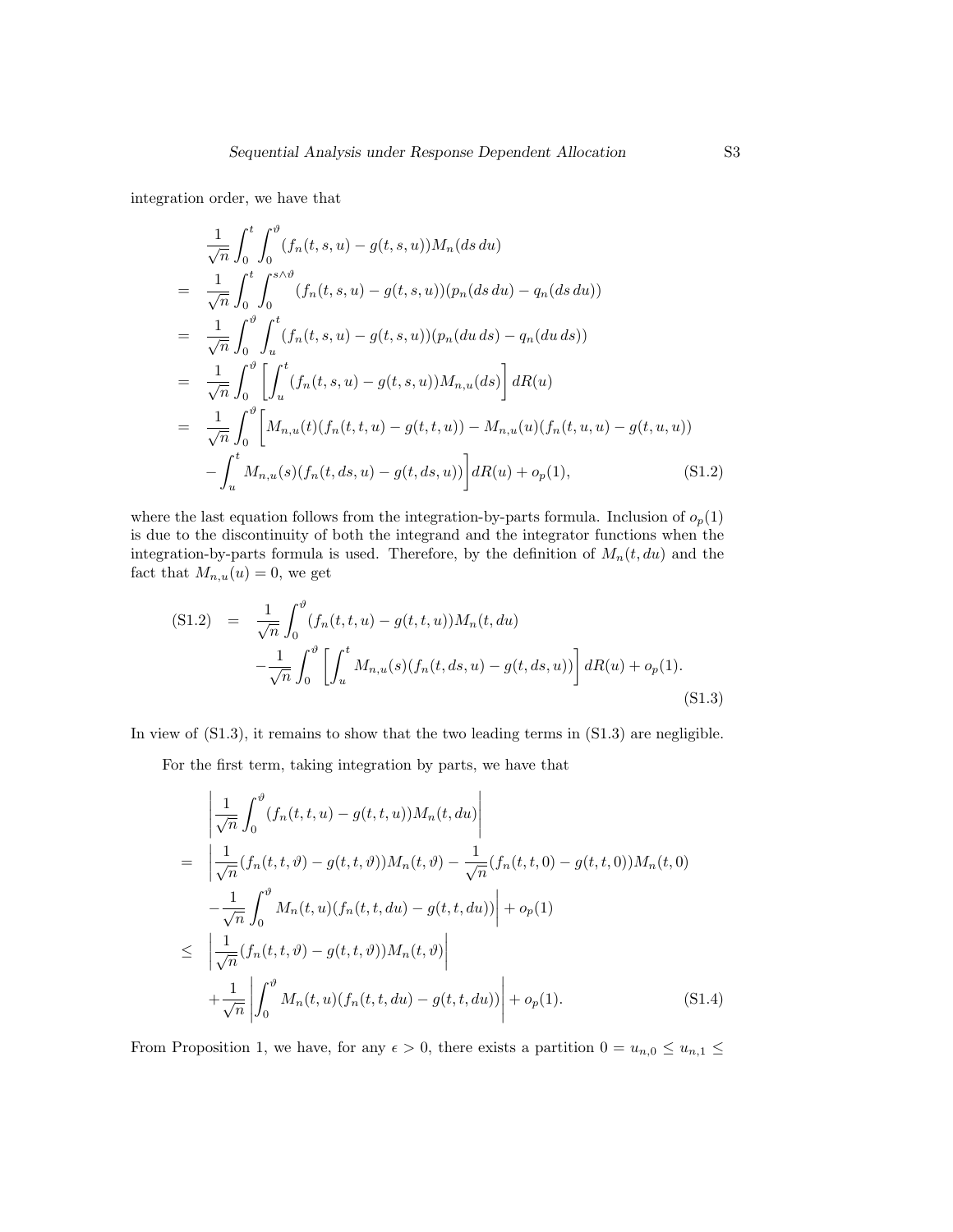integration order, we have that

$$
\frac{1}{\sqrt{n}} \int_0^t \int_0^{\vartheta} (f_n(t, s, u) - g(t, s, u)) M_n(ds \, du)
$$
\n
$$
= \frac{1}{\sqrt{n}} \int_0^t \int_0^{s \wedge \vartheta} (f_n(t, s, u) - g(t, s, u)) (p_n(ds \, du) - q_n(ds \, du))
$$
\n
$$
= \frac{1}{\sqrt{n}} \int_0^{\vartheta} \int_u^t (f_n(t, s, u) - g(t, s, u)) (p_n(du \, ds) - q_n(du \, ds))
$$
\n
$$
= \frac{1}{\sqrt{n}} \int_0^{\vartheta} \left[ \int_u^t (f_n(t, s, u) - g(t, s, u)) M_{n, u}(ds) \right] dR(u)
$$
\n
$$
= \frac{1}{\sqrt{n}} \int_0^{\vartheta} \left[ M_{n, u}(t) (f_n(t, t, u) - g(t, t, u)) - M_{n, u}(u) (f_n(t, u, u) - g(t, u, u)) \right] - \int_u^t M_{n, u}(s) (f_n(t, ds, u) - g(t, ds, u)) \right] dR(u) + o_p(1), \qquad (S1.2)
$$

where the last equation follows from the integration-by-parts formula. Inclusion of  $o_p(1)$ is due to the discontinuity of both the integrand and the integrator functions when the integration-by-parts formula is used. Therefore, by the definition of  $M_n(t, du)$  and the fact that  $M_{n,u}(u) = 0$ , we get

$$
(S1.2) = \frac{1}{\sqrt{n}} \int_0^{\vartheta} (f_n(t, t, u) - g(t, t, u)) M_n(t, du)
$$

$$
- \frac{1}{\sqrt{n}} \int_0^{\vartheta} \left[ \int_u^t M_{n, u}(s) (f_n(t, ds, u) - g(t, ds, u)) \right] dR(u) + o_p(1).
$$
(S1.3)

In view of  $(S1.3)$ , it remains to show that the two leading terms in  $(S1.3)$  are negligible.

For the first term, taking integration by parts, we have that

$$
\begin{split}\n&= \left| \frac{1}{\sqrt{n}} \int_{0}^{\vartheta} (f_{n}(t, t, u) - g(t, t, u)) M_{n}(t, du) \right| \\
&= \left| \frac{1}{\sqrt{n}} (f_{n}(t, t, \vartheta) - g(t, t, \vartheta)) M_{n}(t, \vartheta) - \frac{1}{\sqrt{n}} (f_{n}(t, t, 0) - g(t, t, 0)) M_{n}(t, 0) \right| \\
&- \frac{1}{\sqrt{n}} \int_{0}^{\vartheta} M_{n}(t, u) (f_{n}(t, t, du) - g(t, t, du)) \right| + o_{p}(1) \\
&\leq \left| \frac{1}{\sqrt{n}} (f_{n}(t, t, \vartheta) - g(t, t, \vartheta)) M_{n}(t, \vartheta) \right| \\
&+ \frac{1}{\sqrt{n}} \left| \int_{0}^{\vartheta} M_{n}(t, u) (f_{n}(t, t, du) - g(t, t, du)) \right| + o_{p}(1).\n\end{split} \tag{S1.4}
$$

From Proposition 1, we have, for any  $\epsilon > 0$ , there exists a partition  $0 = u_{n,0} \le u_{n,1} \le$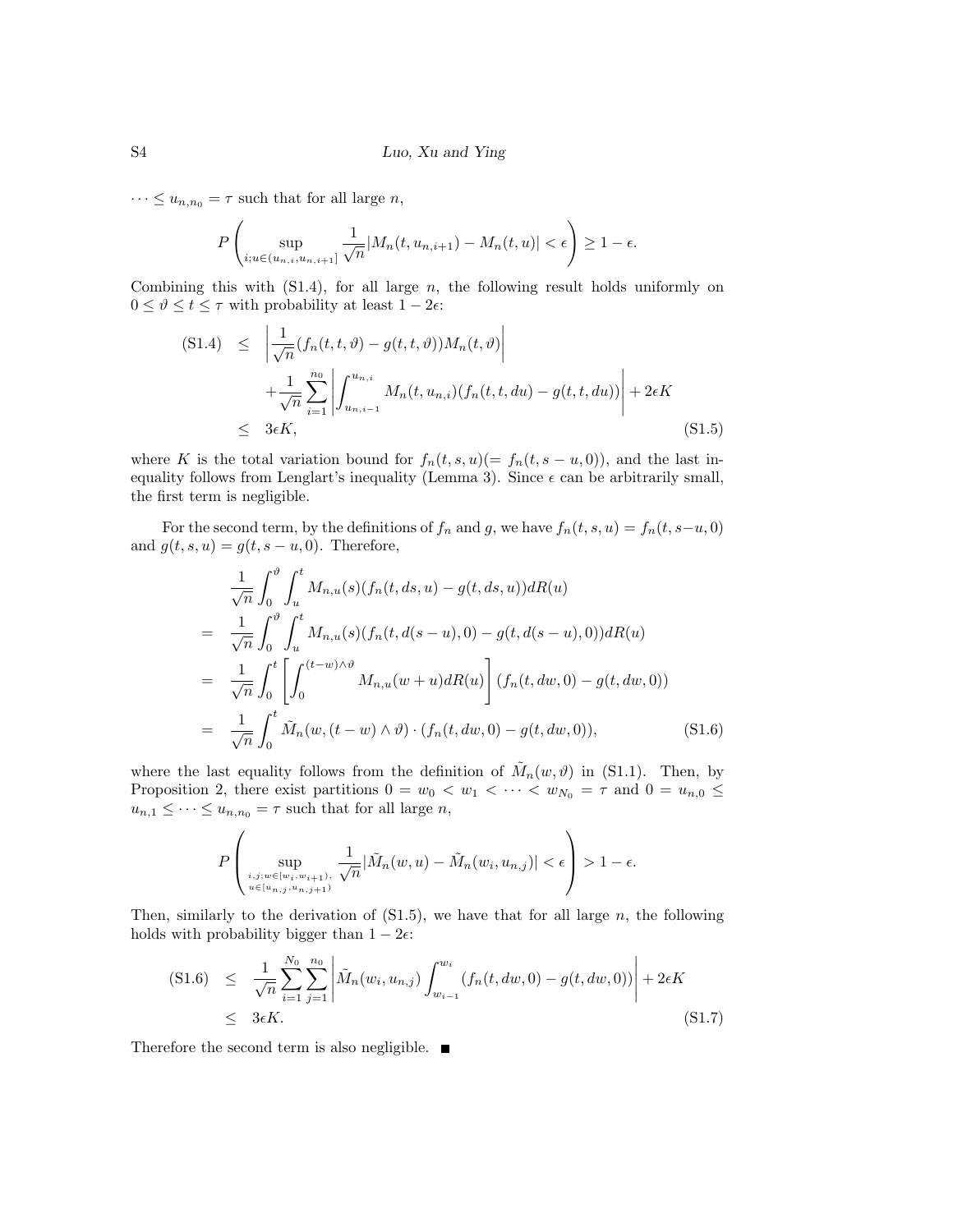$\cdots \leq u_{n,n_0} = \tau$  such that for all large *n*,

$$
P\left(\sup_{i;u\in(u_{n,i},u_{n,i+1}]}\frac{1}{\sqrt{n}}|M_n(t,u_{n,i+1})-M_n(t,u)|<\epsilon\right)\geq 1-\epsilon.
$$

Combining this with  $(S1.4)$ , for all large n, the following result holds uniformly on  $0 \leq \vartheta \leq t \leq \tau$  with probability at least  $1 - 2\epsilon$ .

$$
(S1.4) \leq \left| \frac{1}{\sqrt{n}} (f_n(t, t, \vartheta) - g(t, t, \vartheta)) M_n(t, \vartheta) \right|
$$
  
+ 
$$
\frac{1}{\sqrt{n}} \sum_{i=1}^{n_0} \left| \int_{u_{n, i-1}}^{u_{n, i}} M_n(t, u_{n, i}) (f_n(t, t, du) - g(t, t, du)) \right| + 2\epsilon K
$$
  

$$
\leq 3\epsilon K,
$$
 (S1.5)

where K is the total variation bound for  $f_n(t, s, u) (= f_n(t, s - u, 0))$ , and the last inequality follows from Lenglart's inequality (Lemma 3). Since  $\epsilon$  can be arbitrarily small, the first term is negligible.

For the second term, by the definitions of  $f_n$  and g, we have  $f_n(t, s, u) = f_n(t, s-u, 0)$ and  $g(t, s, u) = g(t, s - u, 0)$ . Therefore,

$$
\frac{1}{\sqrt{n}} \int_0^{\vartheta} \int_u^t M_{n,u}(s) (f_n(t, ds, u) - g(t, ds, u)) dR(u)
$$
\n
$$
= \frac{1}{\sqrt{n}} \int_0^{\vartheta} \int_u^t M_{n,u}(s) (f_n(t, d(s - u), 0) - g(t, d(s - u), 0)) dR(u)
$$
\n
$$
= \frac{1}{\sqrt{n}} \int_0^t \left[ \int_0^{(t - w) \wedge \vartheta} M_{n,u}(w + u) dR(u) \right] (f_n(t, dw, 0) - g(t, dw, 0))
$$
\n
$$
= \frac{1}{\sqrt{n}} \int_0^t \tilde{M}_n(w, (t - w) \wedge \vartheta) \cdot (f_n(t, dw, 0) - g(t, dw, 0)), \qquad (S1.6)
$$

where the last equality follows from the definition of  $\tilde{M}_n(w, \vartheta)$  in (S1.1). Then, by Proposition 2, there exist partitions  $0 = w_0 < w_1 < \cdots < w_{N_0} = \tau$  and  $0 = u_{n,0} \le$  $u_{n,1} \leq \cdots \leq u_{n,n_0} = \tau$  such that for all large  $n$ ,

$$
P\left(\sup_{\stackrel{i,j;w\in [w_i,w_{i+1}),}{_{u\in [u_{n,j},u_{n,j+1})}}}\frac{1}{\sqrt{n}}|\tilde M_n(w,u)-\tilde M_n(w_i,u_{n,j})|<\epsilon\right)>1-\epsilon.
$$

Then, similarly to the derivation of  $(S1.5)$ , we have that for all large n, the following holds with probability bigger than  $1 - 2\epsilon$ :

$$
(S1.6) \leq \frac{1}{\sqrt{n}} \sum_{i=1}^{N_0} \sum_{j=1}^{n_0} \left| \tilde{M}_n(w_i, u_{n,j}) \int_{w_{i-1}}^{w_i} (f_n(t, dw, 0) - g(t, dw, 0)) \right| + 2\epsilon K
$$
  
 
$$
\leq 3\epsilon K.
$$
 (S1.7)

Therefore the second term is also negligible.  $\blacksquare$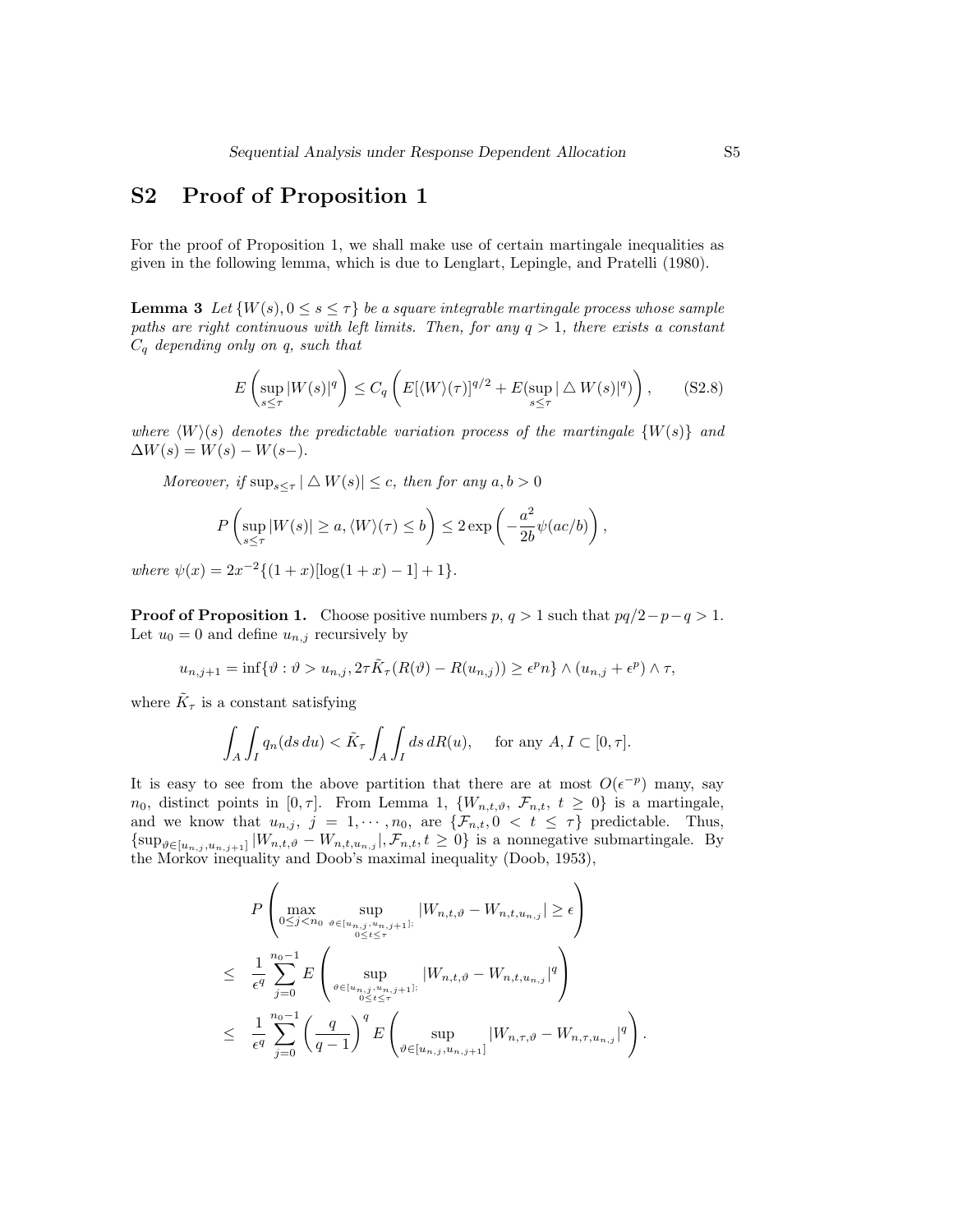## S2 Proof of Proposition 1

For the proof of Proposition 1, we shall make use of certain martingale inequalities as given in the following lemma, which is due to Lenglart, Lepingle, and Pratelli (1980).

**Lemma 3** Let  $\{W(s), 0 \le s \le \tau\}$  be a square integrable martingale process whose sample paths are right continuous with left limits. Then, for any  $q > 1$ , there exists a constant  $C_q$  depending only on q, such that

$$
E\left(\sup_{s\leq \tau} |W(s)|^q\right) \leq C_q \left(E[\langle W\rangle(\tau)]^{q/2} + E(\sup_{s\leq \tau} |\triangle W(s)|^q)\right),\qquad( \text{S2.8})
$$

where  $\langle W \rangle$ (s) denotes the predictable variation process of the martingale  $\{W(s)\}\$ and  $\Delta W(s) = W(s) - W(s-).$ 

Moreover, if  $\sup_{s\leq \tau} |\Delta W(s)| \leq c$ , then for any  $a, b > 0$ 

$$
P\left(\sup_{s\leq \tau} |W(s)| \geq a, \langle W\rangle(\tau) \leq b\right) \leq 2\exp\left(-\frac{a^2}{2b}\psi(ac/b)\right),\,
$$

where  $\psi(x) = 2x^{-2}\{(1+x)[\log(1+x)-1]+1\}.$ 

**Proof of Proposition 1.** Choose positive numbers  $p, q > 1$  such that  $pq/2-p-q > 1$ . Let  $u_0 = 0$  and define  $u_{n,j}$  recursively by

$$
u_{n,j+1} = \inf \{ \vartheta : \vartheta > u_{n,j}, 2\tau \tilde{K}_{\tau}(R(\vartheta) - R(u_{n,j})) \ge \epsilon^p n \} \wedge (u_{n,j} + \epsilon^p) \wedge \tau,
$$

where  $\tilde{K}_{\tau}$  is a constant satisfying

$$
\int_A \int_I q_n(ds \, du) < \tilde{K}_\tau \int_A \int_I ds \, dR(u), \quad \text{for any } A, I \subset [0, \tau].
$$

It is easy to see from the above partition that there are at most  $O(\epsilon^{-p})$  many, say  $n_0$ , distinct points in  $[0, \tau]$ . From Lemma 1,  $\{W_{n,t,\vartheta}, \mathcal{F}_{n,t}, t \geq 0\}$  is a martingale, and we know that  $u_{n,j}$ ,  $j = 1, \dots, n_0$ , are  $\{\mathcal{F}_{n,t}, 0 \lt t \leq \tau\}$  predictable. Thus,  $\{\sup_{\vartheta \in [u_{n,j}, u_{n,j+1}]} | W_{n,t,\vartheta} - W_{n,t,u_{n,j}} |, \mathcal{F}_{n,t}, t \geq 0\}$  is a nonnegative submartingale. By the Morkov inequality and Doob's maximal inequality (Doob, 1953),

$$
P\left(\max_{0\leq j < n_0} \sup_{\vartheta \in [u_{n,j}, u_{n,j+1}]}\left|W_{n,t,\vartheta} - W_{n,t,u_{n,j}}\right| \geq \epsilon\right) \\
\leq \frac{1}{\epsilon^q} \sum_{j=0}^{n_0 - 1} E\left(\sup_{\vartheta \in [u_{n,j}, u_{n,j+1}]}\left|W_{n,t,\vartheta} - W_{n,t,u_{n,j}}\right|^q\right) \\
\leq \frac{1}{\epsilon^q} \sum_{j=0}^{n_0 - 1} \left(\frac{q}{q-1}\right)^q E\left(\sup_{\vartheta \in [u_{n,j}, u_{n,j+1}]}\left|W_{n,\tau,\vartheta} - W_{n,\tau,u_{n,j}}\right|^q\right).
$$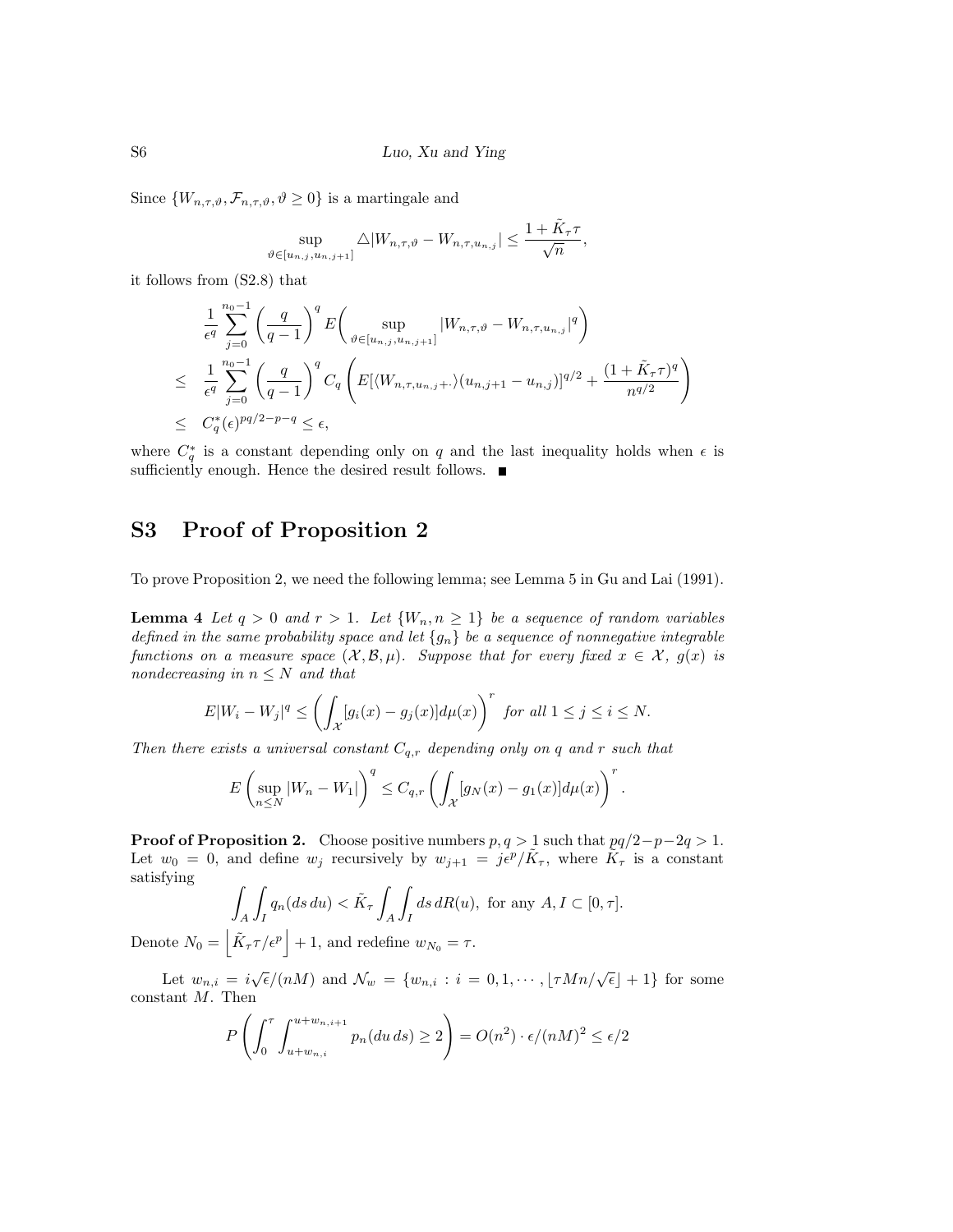Since  $\{W_{n,\tau,\vartheta},\mathcal{F}_{n,\tau,\vartheta},\vartheta\geq 0\}$  is a martingale and

$$
\sup_{\vartheta \in [u_{n,j}, u_{n,j+1}]} \triangle |W_{n,\tau,\vartheta} - W_{n,\tau,u_{n,j}}| \le \frac{1 + \tilde{K}_{\tau} \tau}{\sqrt{n}},
$$

it follows from (S2.8) that

Denote  $N_0$ 

$$
\frac{1}{\epsilon^q} \sum_{j=0}^{n_0-1} \left( \frac{q}{q-1} \right)^q E \left( \sup_{\vartheta \in [u_{n,j}, u_{n,j+1}]} |W_{n,\tau,\vartheta} - W_{n,\tau,u_{n,j}}|^q \right)
$$
\n
$$
\leq \frac{1}{\epsilon^q} \sum_{j=0}^{n_0-1} \left( \frac{q}{q-1} \right)^q C_q \left( E \left[ \langle W_{n,\tau,u_{n,j+1}} \rangle (u_{n,j+1} - u_{n,j}) \right]^{q/2} + \frac{(1 + \tilde{K}_\tau \tau)^q}{n^{q/2}} \right)
$$
\n
$$
\leq C_q^*(\epsilon)^{pq/2 - p - q} \leq \epsilon,
$$

where  $C_q^*$  is a constant depending only on q and the last inequality holds when  $\epsilon$  is sufficiently enough. Hence the desired result follows.

#### S3 Proof of Proposition 2

To prove Proposition 2, we need the following lemma; see Lemma 5 in Gu and Lai (1991).

**Lemma 4** Let  $q > 0$  and  $r > 1$ . Let  $\{W_n, n \geq 1\}$  be a sequence of random variables defined in the same probability space and let  $\{g_n\}$  be a sequence of nonnegative integrable functions on a measure space  $(X, \mathcal{B}, \mu)$ . Suppose that for every fixed  $x \in \mathcal{X}$ ,  $g(x)$  is nondecreasing in  $n \leq N$  and that

$$
E|W_i - W_j|^q \le \left(\int_{\mathcal{X}} [g_i(x) - g_j(x)] d\mu(x)\right)^r \text{ for all } 1 \le j \le i \le N.
$$

Then there exists a universal constant  $C_{q,r}$  depending only on q and r such that

$$
E\left(\sup_{n\leq N}|W_n-W_1|\right)^q\leq C_{q,r}\left(\int_{\mathcal{X}}[g_N(x)-g_1(x)]d\mu(x)\right)^r.
$$

**Proof of Proposition 2.** Choose positive numbers  $p, q > 1$  such that  $pq/2-p-2q > 1$ . Let  $w_0 = 0$ , and define  $w_j$  recursively by  $w_{j+1} = j\epsilon^p/\tilde{K}_{\tau}$ , where  $\tilde{K}_{\tau}$  is a constant satisfying

$$
\int_A \int_I q_n(ds \, du) < \tilde{K}_\tau \int_A \int_I ds \, dR(u), \text{ for any } A, I \subset [0, \tau].
$$
\n
$$
= \left| \tilde{K}_\tau \tau / \epsilon^p \right| + 1, \text{ and redefine } w_{N_0} = \tau.
$$

Let  $w_{n,i} = i\sqrt{\epsilon}/(nM)$  and  $\mathcal{N}_w = \{w_{n,i} : i = 0, 1, \cdots, \lfloor \tau Mn/\sqrt{\epsilon} \rfloor + 1\}$  for some constant M. Then

$$
P\left(\int_0^{\tau} \int_{u+w_{n,i}}^{u+w_{n,i+1}} p_n(du\,ds) \ge 2\right) = O(n^2) \cdot \epsilon/(nM)^2 \le \epsilon/2
$$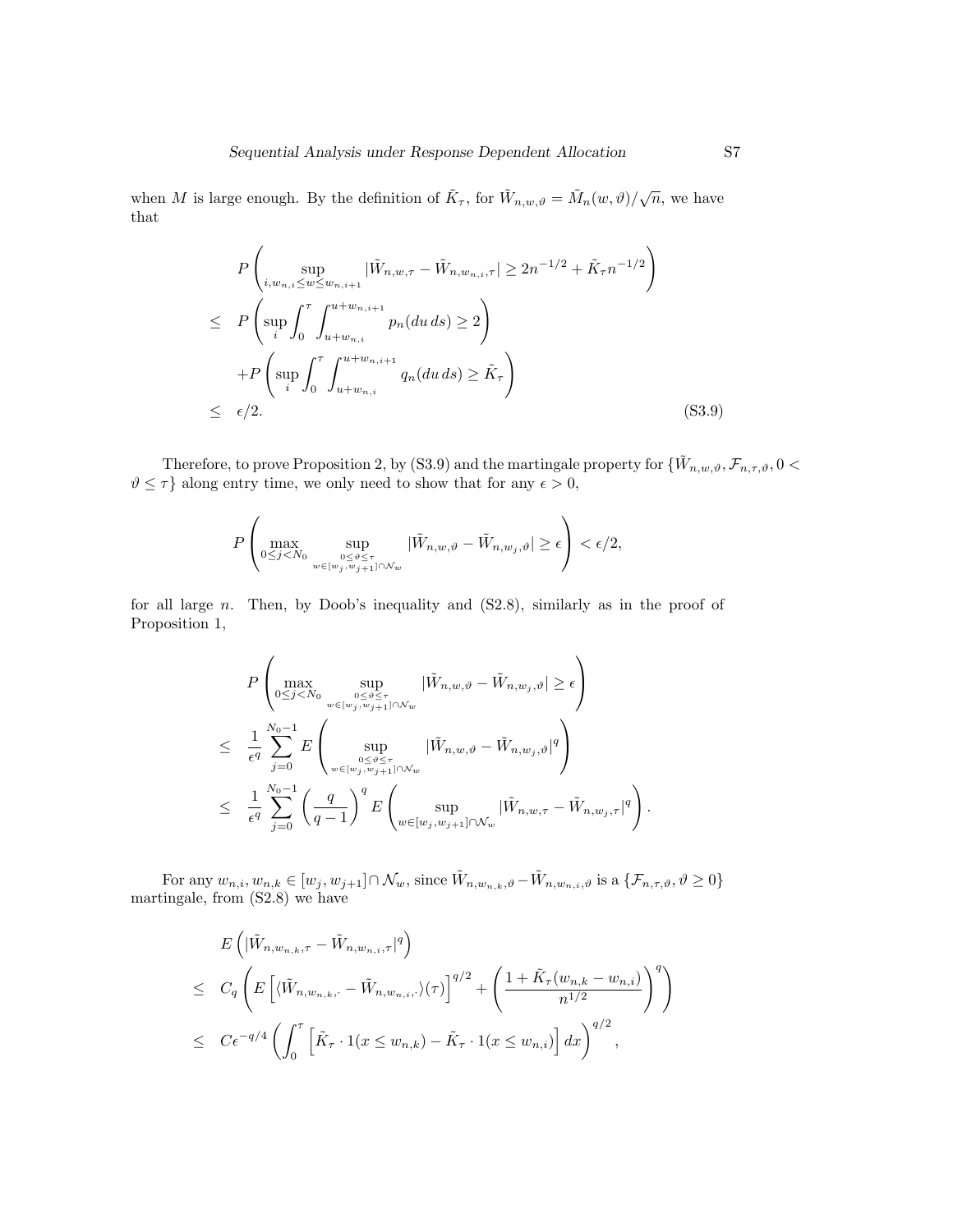when M is large enough. By the definition of  $\tilde{K}_{\tau}$ , for  $\tilde{W}_{n,w,\vartheta} = \tilde{M}_n(w,\vartheta)/\sqrt{n}$ , we have that

$$
P\left(\sup_{i,w_{n,i}\leq w\leq w_{n,i+1}}|\tilde{W}_{n,w,\tau}-\tilde{W}_{n,w_{n,i},\tau}| \geq 2n^{-1/2}+\tilde{K}_{\tau}n^{-1/2}\right) \n\leq P\left(\sup_{i}\int_{0}^{\tau}\int_{u+w_{n,i}}^{u+w_{n,i+1}}p_{n}(du\,ds) \geq 2\right) \n+P\left(\sup_{i}\int_{0}^{\tau}\int_{u+w_{n,i}}^{u+w_{n,i+1}}q_{n}(du\,ds) \geq \tilde{K}_{\tau}\right) \n\leq \epsilon/2.
$$
\n(S3.9)

Therefore, to prove Proposition 2, by (S3.9) and the martingale property for  $\{\tilde{W}_{n,w,\vartheta}, \mathcal{F}_{n,\tau,\vartheta}, 0 <$  $\vartheta \leq \tau$  along entry time, we only need to show that for any  $\epsilon > 0$ ,

$$
P\left(\max_{0\leq j
$$

for all large n. Then, by Doob's inequality and (S2.8), similarly as in the proof of Proposition 1,

$$
P\left(\max_{0\leq j  

$$
\leq \frac{1}{\epsilon^q} \sum_{j=0}^{N_0-1} E\left(\sup_{\substack{0\leq\vartheta\leq\tau\\w\in\left[w_j,w_{j+1}\right]\cap\mathcal{N}_w}} |\tilde{W}_{n,w,\vartheta} - \tilde{W}_{n,w_j,\vartheta}|^q\right)
$$
  

$$
\leq \frac{1}{\epsilon^q} \sum_{j=0}^{N_0-1} \left(\frac{q}{q-1}\right)^q E\left(\sup_{w\in\left[w_j,w_{j+1}\right]\cap\mathcal{N}_w} |\tilde{W}_{n,w,\tau} - \tilde{W}_{n,w_j,\tau}|^q\right).
$$
$$

For any  $w_{n,i}, w_{n,k} \in [w_j, w_{j+1}] \cap \mathcal{N}_w$ , since  $\tilde{W}_{n,w_{n,k},\vartheta} - \tilde{W}_{n,w_{n,i},\vartheta}$  is a  $\{\mathcal{F}_{n,\tau,\vartheta}, \vartheta \ge 0\}$ martingale, from  $(S2.8)$  we have

$$
E\left(|\tilde{W}_{n,w_{n,k},\tau} - \tilde{W}_{n,w_{n,i},\tau}|^{q}\right)
$$
  
\n
$$
\leq C_{q}\left(E\left[\langle \tilde{W}_{n,w_{n,k},\cdot} - \tilde{W}_{n,w_{n,i},\cdot}\rangle(\tau)\right]^{q/2} + \left(\frac{1 + \tilde{K}_{\tau}(w_{n,k} - w_{n,i})}{n^{1/2}}\right)^{q}\right)
$$
  
\n
$$
\leq C\epsilon^{-q/4}\left(\int_{0}^{\tau}\left[\tilde{K}_{\tau} \cdot 1(x \leq w_{n,k}) - \tilde{K}_{\tau} \cdot 1(x \leq w_{n,i})\right]dx\right)^{q/2},
$$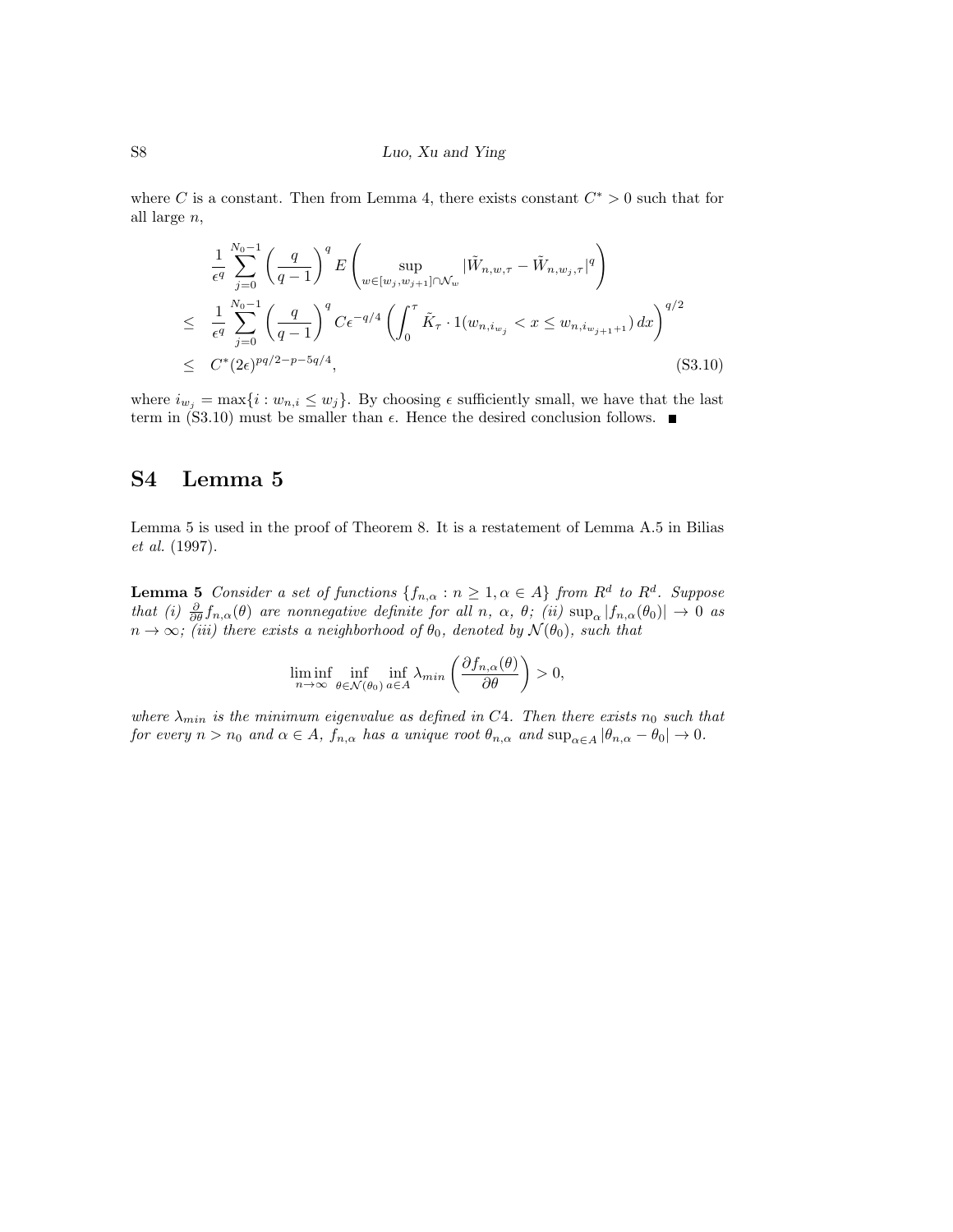#### S8 Luo, Xu and Ying

where C is a constant. Then from Lemma 4, there exists constant  $C^* > 0$  such that for all large n,

$$
\frac{1}{\epsilon^q} \sum_{j=0}^{N_0-1} \left( \frac{q}{q-1} \right)^q E \left( \sup_{w \in [w_j, w_{j+1}] \cap \mathcal{N}_w} |\tilde{W}_{n, w, \tau} - \tilde{W}_{n, w_j, \tau}|^q \right)
$$
\n
$$
\leq \frac{1}{\epsilon^q} \sum_{j=0}^{N_0-1} \left( \frac{q}{q-1} \right)^q C \epsilon^{-q/4} \left( \int_0^{\tau} \tilde{K}_{\tau} \cdot 1(w_{n, i_{w_j}} < x \leq w_{n, i_{w_{j+1}+1}}) \, dx \right)^{q/2}
$$
\n
$$
\leq C^*(2\epsilon)^{pq/2 - p - 5q/4}, \tag{S3.10}
$$

where  $i_{w_j} = \max\{i : w_{n,i} \leq w_j\}$ . By choosing  $\epsilon$  sufficiently small, we have that the last term in (S3.10) must be smaller than  $\epsilon$ . Hence the desired conclusion follows.

## S4 Lemma 5

Lemma 5 is used in the proof of Theorem 8. It is a restatement of Lemma A.5 in Bilias et al. (1997).

**Lemma 5** Consider a set of functions  $\{f_{n,\alpha}: n \geq 1, \alpha \in A\}$  from  $R^d$  to  $R^d$ . Suppose that (i)  $\frac{\partial}{\partial \theta} f_{n,\alpha}(\theta)$  are nonnegative definite for all n,  $\alpha$ ,  $\theta$ ; (ii)  $\sup_{\alpha} |f_{n,\alpha}(\theta_0)| \to 0$  as  $n \to \infty$ ; (iii) there exists a neighborhood of  $\theta_0$ , denoted by  $\mathcal{N}(\theta_0)$ , such that

$$
\liminf_{n \to \infty} \inf_{\theta \in \mathcal{N}(\theta_0)} \inf_{a \in A} \lambda_{\min} \left( \frac{\partial f_{n,\alpha}(\theta)}{\partial \theta} \right) > 0,
$$

where  $\lambda_{min}$  is the minimum eigenvalue as defined in C4. Then there exists  $n_0$  such that for every  $n > n_0$  and  $\alpha \in A$ ,  $f_{n,\alpha}$  has a unique root  $\theta_{n,\alpha}$  and  $\sup_{\alpha \in A} |\theta_{n,\alpha} - \theta_0| \to 0$ .